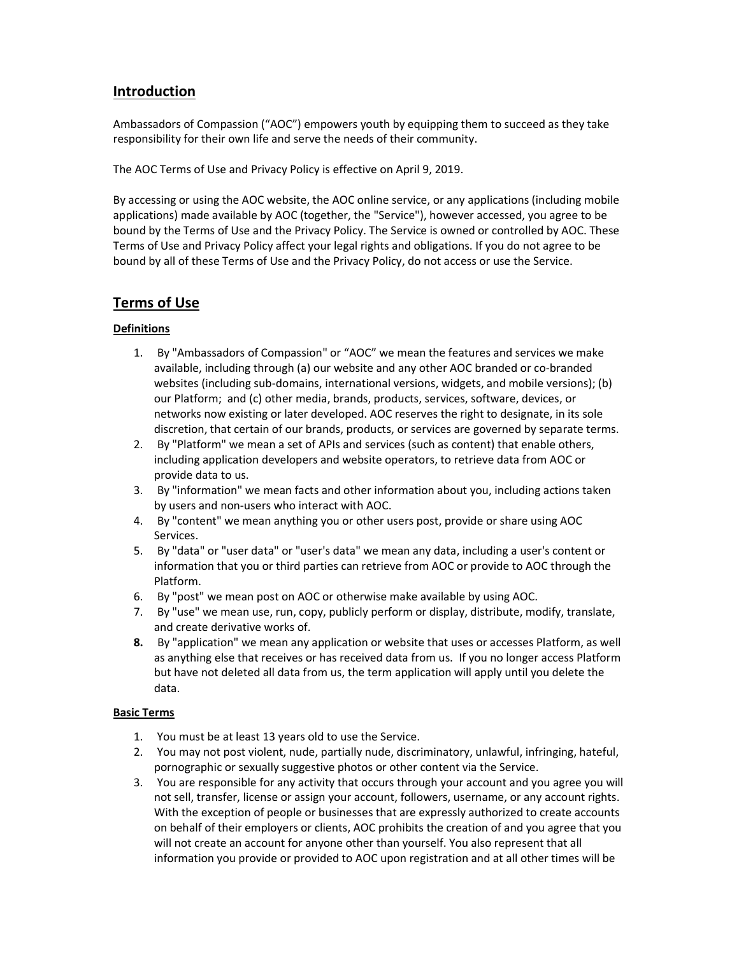# Introduction

Ambassadors of Compassion ("AOC") empowers youth by equipping them to succeed as they take responsibility for their own life and serve the needs of their community.

The AOC Terms of Use and Privacy Policy is effective on April 9, 2019.

By accessing or using the AOC website, the AOC online service, or any applications (including mobile applications) made available by AOC (together, the "Service"), however accessed, you agree to be bound by the Terms of Use and the Privacy Policy. The Service is owned or controlled by AOC. These Terms of Use and Privacy Policy affect your legal rights and obligations. If you do not agree to be bound by all of these Terms of Use and the Privacy Policy, do not access or use the Service.

# Terms of Use

# Definitions

- 1. By "Ambassadors of Compassion" or "AOC" we mean the features and services we make available, including through (a) our website and any other AOC branded or co-branded websites (including sub-domains, international versions, widgets, and mobile versions); (b) our Platform; and (c) other media, brands, products, services, software, devices, or networks now existing or later developed. AOC reserves the right to designate, in its sole discretion, that certain of our brands, products, or services are governed by separate terms.
- 2. By "Platform" we mean a set of APIs and services (such as content) that enable others, including application developers and website operators, to retrieve data from AOC or provide data to us.
- 3. By "information" we mean facts and other information about you, including actions taken by users and non-users who interact with AOC.
- 4. By "content" we mean anything you or other users post, provide or share using AOC Services.
- 5. By "data" or "user data" or "user's data" we mean any data, including a user's content or information that you or third parties can retrieve from AOC or provide to AOC through the Platform.
- 6. By "post" we mean post on AOC or otherwise make available by using AOC.
- 7. By "use" we mean use, run, copy, publicly perform or display, distribute, modify, translate, and create derivative works of.
- 8. By "application" we mean any application or website that uses or accesses Platform, as well as anything else that receives or has received data from us. If you no longer access Platform but have not deleted all data from us, the term application will apply until you delete the data.

# Basic Terms

- 1. You must be at least 13 years old to use the Service.
- 2. You may not post violent, nude, partially nude, discriminatory, unlawful, infringing, hateful, pornographic or sexually suggestive photos or other content via the Service.
- 3. You are responsible for any activity that occurs through your account and you agree you will not sell, transfer, license or assign your account, followers, username, or any account rights. With the exception of people or businesses that are expressly authorized to create accounts on behalf of their employers or clients, AOC prohibits the creation of and you agree that you will not create an account for anyone other than yourself. You also represent that all information you provide or provided to AOC upon registration and at all other times will be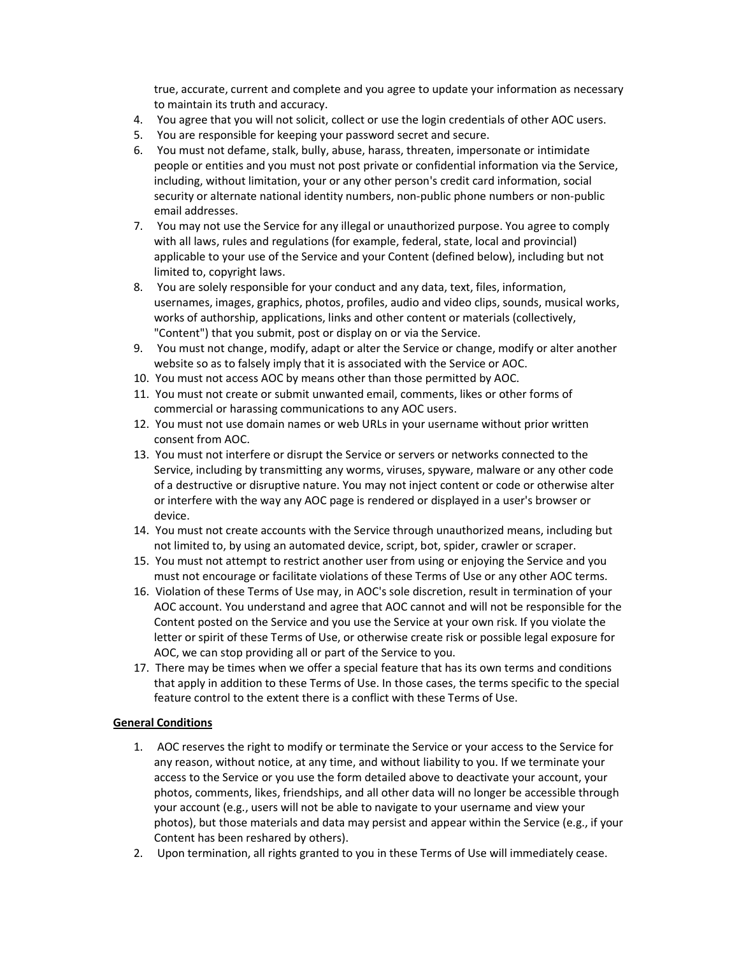true, accurate, current and complete and you agree to update your information as necessary to maintain its truth and accuracy.

- 4. You agree that you will not solicit, collect or use the login credentials of other AOC users.
- 5. You are responsible for keeping your password secret and secure.
- 6. You must not defame, stalk, bully, abuse, harass, threaten, impersonate or intimidate people or entities and you must not post private or confidential information via the Service, including, without limitation, your or any other person's credit card information, social security or alternate national identity numbers, non-public phone numbers or non-public email addresses.
- 7. You may not use the Service for any illegal or unauthorized purpose. You agree to comply with all laws, rules and regulations (for example, federal, state, local and provincial) applicable to your use of the Service and your Content (defined below), including but not limited to, copyright laws.
- 8. You are solely responsible for your conduct and any data, text, files, information, usernames, images, graphics, photos, profiles, audio and video clips, sounds, musical works, works of authorship, applications, links and other content or materials (collectively, "Content") that you submit, post or display on or via the Service.
- 9. You must not change, modify, adapt or alter the Service or change, modify or alter another website so as to falsely imply that it is associated with the Service or AOC.
- 10. You must not access AOC by means other than those permitted by AOC.
- 11. You must not create or submit unwanted email, comments, likes or other forms of commercial or harassing communications to any AOC users.
- 12. You must not use domain names or web URLs in your username without prior written consent from AOC.
- 13. You must not interfere or disrupt the Service or servers or networks connected to the Service, including by transmitting any worms, viruses, spyware, malware or any other code of a destructive or disruptive nature. You may not inject content or code or otherwise alter or interfere with the way any AOC page is rendered or displayed in a user's browser or device.
- 14. You must not create accounts with the Service through unauthorized means, including but not limited to, by using an automated device, script, bot, spider, crawler or scraper.
- 15. You must not attempt to restrict another user from using or enjoying the Service and you must not encourage or facilitate violations of these Terms of Use or any other AOC terms.
- 16. Violation of these Terms of Use may, in AOC's sole discretion, result in termination of your AOC account. You understand and agree that AOC cannot and will not be responsible for the Content posted on the Service and you use the Service at your own risk. If you violate the letter or spirit of these Terms of Use, or otherwise create risk or possible legal exposure for AOC, we can stop providing all or part of the Service to you.
- 17. There may be times when we offer a special feature that has its own terms and conditions that apply in addition to these Terms of Use. In those cases, the terms specific to the special feature control to the extent there is a conflict with these Terms of Use.

# General Conditions

- 1. AOC reserves the right to modify or terminate the Service or your access to the Service for any reason, without notice, at any time, and without liability to you. If we terminate your access to the Service or you use the form detailed above to deactivate your account, your photos, comments, likes, friendships, and all other data will no longer be accessible through your account (e.g., users will not be able to navigate to your username and view your photos), but those materials and data may persist and appear within the Service (e.g., if your Content has been reshared by others).
- 2. Upon termination, all rights granted to you in these Terms of Use will immediately cease.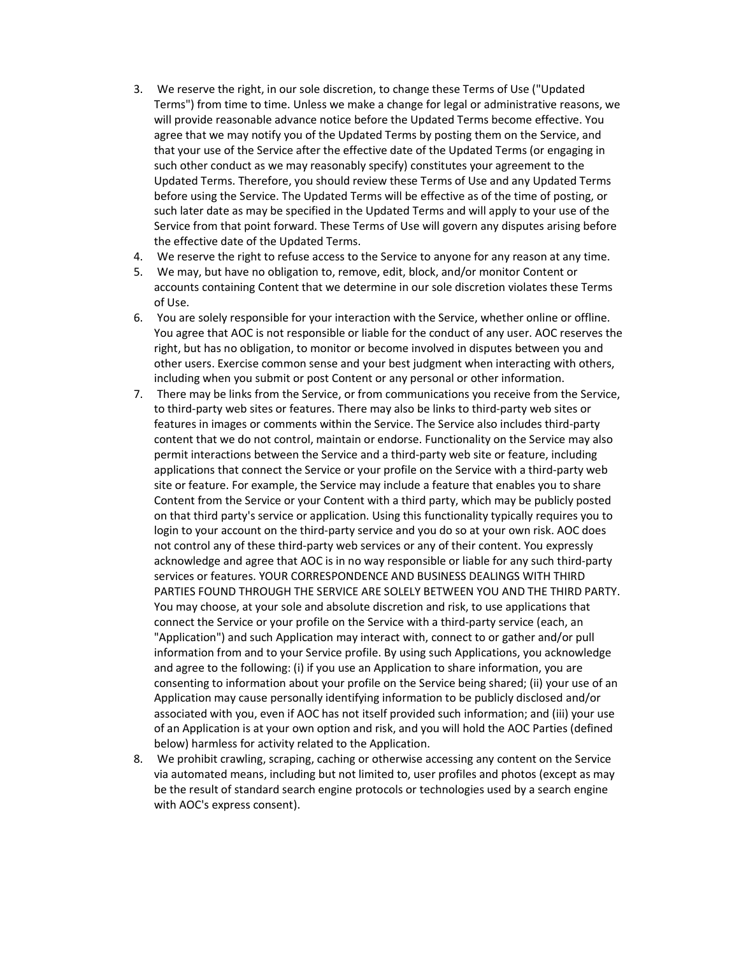- 3. We reserve the right, in our sole discretion, to change these Terms of Use ("Updated Terms") from time to time. Unless we make a change for legal or administrative reasons, we will provide reasonable advance notice before the Updated Terms become effective. You agree that we may notify you of the Updated Terms by posting them on the Service, and that your use of the Service after the effective date of the Updated Terms (or engaging in such other conduct as we may reasonably specify) constitutes your agreement to the Updated Terms. Therefore, you should review these Terms of Use and any Updated Terms before using the Service. The Updated Terms will be effective as of the time of posting, or such later date as may be specified in the Updated Terms and will apply to your use of the Service from that point forward. These Terms of Use will govern any disputes arising before the effective date of the Updated Terms.
- 4. We reserve the right to refuse access to the Service to anyone for any reason at any time.
- 5. We may, but have no obligation to, remove, edit, block, and/or monitor Content or accounts containing Content that we determine in our sole discretion violates these Terms of Use.
- 6. You are solely responsible for your interaction with the Service, whether online or offline. You agree that AOC is not responsible or liable for the conduct of any user. AOC reserves the right, but has no obligation, to monitor or become involved in disputes between you and other users. Exercise common sense and your best judgment when interacting with others, including when you submit or post Content or any personal or other information.
- 7. There may be links from the Service, or from communications you receive from the Service, to third-party web sites or features. There may also be links to third-party web sites or features in images or comments within the Service. The Service also includes third-party content that we do not control, maintain or endorse. Functionality on the Service may also permit interactions between the Service and a third-party web site or feature, including applications that connect the Service or your profile on the Service with a third-party web site or feature. For example, the Service may include a feature that enables you to share Content from the Service or your Content with a third party, which may be publicly posted on that third party's service or application. Using this functionality typically requires you to login to your account on the third-party service and you do so at your own risk. AOC does not control any of these third-party web services or any of their content. You expressly acknowledge and agree that AOC is in no way responsible or liable for any such third-party services or features. YOUR CORRESPONDENCE AND BUSINESS DEALINGS WITH THIRD PARTIES FOUND THROUGH THE SERVICE ARE SOLELY BETWEEN YOU AND THE THIRD PARTY. You may choose, at your sole and absolute discretion and risk, to use applications that connect the Service or your profile on the Service with a third-party service (each, an "Application") and such Application may interact with, connect to or gather and/or pull information from and to your Service profile. By using such Applications, you acknowledge and agree to the following: (i) if you use an Application to share information, you are consenting to information about your profile on the Service being shared; (ii) your use of an Application may cause personally identifying information to be publicly disclosed and/or associated with you, even if AOC has not itself provided such information; and (iii) your use of an Application is at your own option and risk, and you will hold the AOC Parties (defined below) harmless for activity related to the Application.
- 8. We prohibit crawling, scraping, caching or otherwise accessing any content on the Service via automated means, including but not limited to, user profiles and photos (except as may be the result of standard search engine protocols or technologies used by a search engine with AOC's express consent).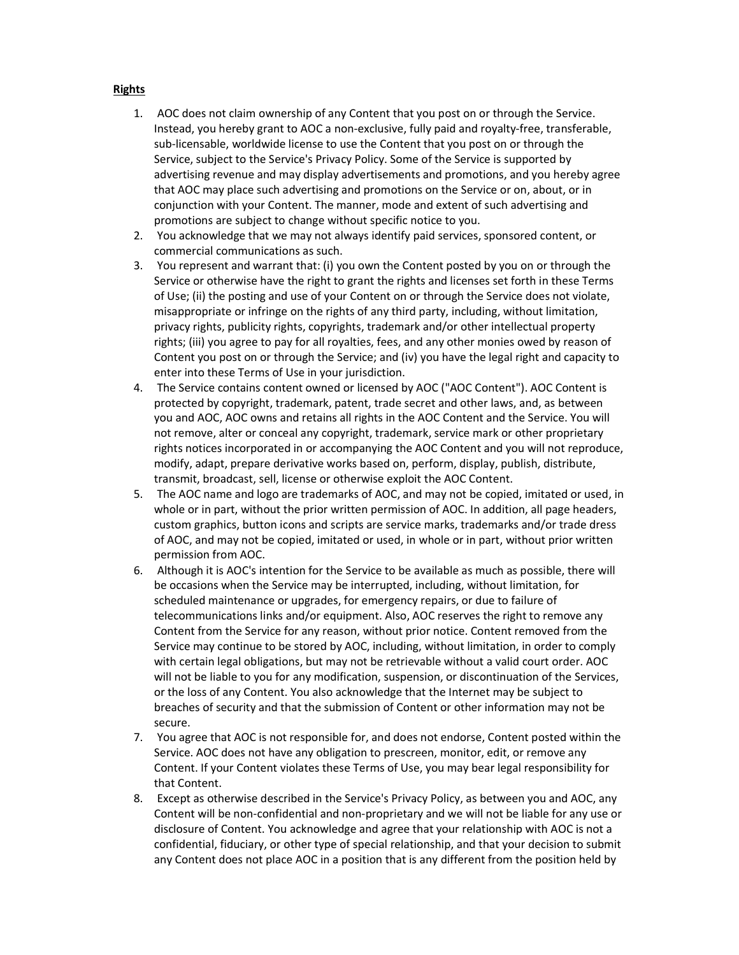## Rights

- 1. AOC does not claim ownership of any Content that you post on or through the Service. Instead, you hereby grant to AOC a non-exclusive, fully paid and royalty-free, transferable, sub-licensable, worldwide license to use the Content that you post on or through the Service, subject to the Service's Privacy Policy. Some of the Service is supported by advertising revenue and may display advertisements and promotions, and you hereby agree that AOC may place such advertising and promotions on the Service or on, about, or in conjunction with your Content. The manner, mode and extent of such advertising and promotions are subject to change without specific notice to you.
- 2. You acknowledge that we may not always identify paid services, sponsored content, or commercial communications as such.
- 3. You represent and warrant that: (i) you own the Content posted by you on or through the Service or otherwise have the right to grant the rights and licenses set forth in these Terms of Use; (ii) the posting and use of your Content on or through the Service does not violate, misappropriate or infringe on the rights of any third party, including, without limitation, privacy rights, publicity rights, copyrights, trademark and/or other intellectual property rights; (iii) you agree to pay for all royalties, fees, and any other monies owed by reason of Content you post on or through the Service; and (iv) you have the legal right and capacity to enter into these Terms of Use in your jurisdiction.
- 4. The Service contains content owned or licensed by AOC ("AOC Content"). AOC Content is protected by copyright, trademark, patent, trade secret and other laws, and, as between you and AOC, AOC owns and retains all rights in the AOC Content and the Service. You will not remove, alter or conceal any copyright, trademark, service mark or other proprietary rights notices incorporated in or accompanying the AOC Content and you will not reproduce, modify, adapt, prepare derivative works based on, perform, display, publish, distribute, transmit, broadcast, sell, license or otherwise exploit the AOC Content.
- 5. The AOC name and logo are trademarks of AOC, and may not be copied, imitated or used, in whole or in part, without the prior written permission of AOC. In addition, all page headers, custom graphics, button icons and scripts are service marks, trademarks and/or trade dress of AOC, and may not be copied, imitated or used, in whole or in part, without prior written permission from AOC.
- 6. Although it is AOC's intention for the Service to be available as much as possible, there will be occasions when the Service may be interrupted, including, without limitation, for scheduled maintenance or upgrades, for emergency repairs, or due to failure of telecommunications links and/or equipment. Also, AOC reserves the right to remove any Content from the Service for any reason, without prior notice. Content removed from the Service may continue to be stored by AOC, including, without limitation, in order to comply with certain legal obligations, but may not be retrievable without a valid court order. AOC will not be liable to you for any modification, suspension, or discontinuation of the Services, or the loss of any Content. You also acknowledge that the Internet may be subject to breaches of security and that the submission of Content or other information may not be secure.
- 7. You agree that AOC is not responsible for, and does not endorse, Content posted within the Service. AOC does not have any obligation to prescreen, monitor, edit, or remove any Content. If your Content violates these Terms of Use, you may bear legal responsibility for that Content.
- 8. Except as otherwise described in the Service's Privacy Policy, as between you and AOC, any Content will be non-confidential and non-proprietary and we will not be liable for any use or disclosure of Content. You acknowledge and agree that your relationship with AOC is not a confidential, fiduciary, or other type of special relationship, and that your decision to submit any Content does not place AOC in a position that is any different from the position held by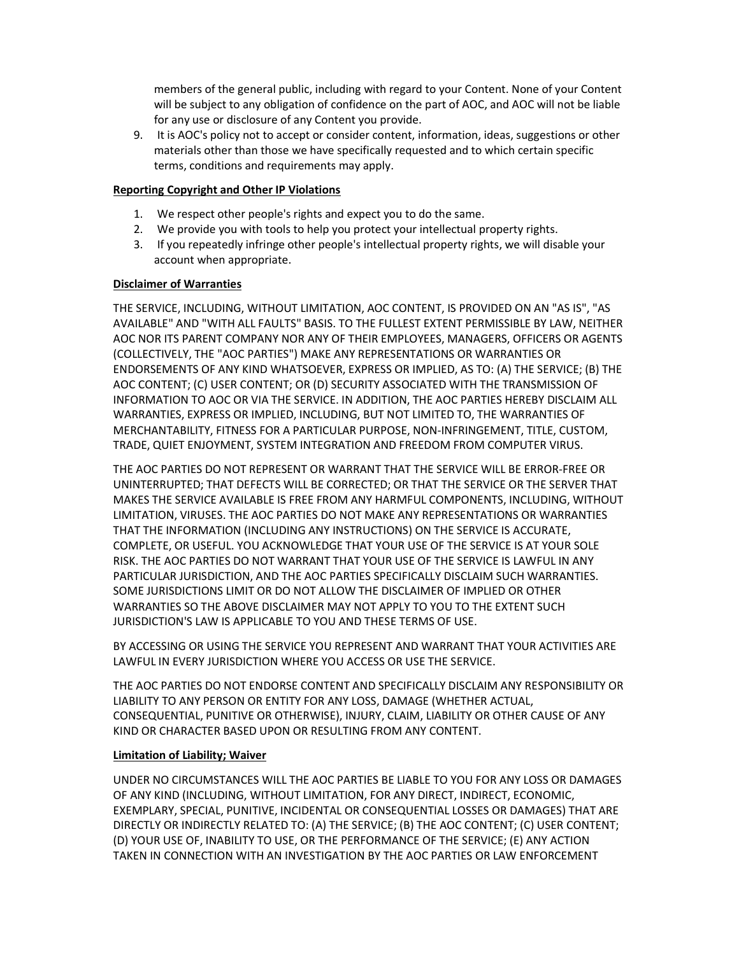members of the general public, including with regard to your Content. None of your Content will be subject to any obligation of confidence on the part of AOC, and AOC will not be liable for any use or disclosure of any Content you provide.

9. It is AOC's policy not to accept or consider content, information, ideas, suggestions or other materials other than those we have specifically requested and to which certain specific terms, conditions and requirements may apply.

## Reporting Copyright and Other IP Violations

- 1. We respect other people's rights and expect you to do the same.
- 2. We provide you with tools to help you protect your intellectual property rights.
- 3. If you repeatedly infringe other people's intellectual property rights, we will disable your account when appropriate.

## Disclaimer of Warranties

THE SERVICE, INCLUDING, WITHOUT LIMITATION, AOC CONTENT, IS PROVIDED ON AN "AS IS", "AS AVAILABLE" AND "WITH ALL FAULTS" BASIS. TO THE FULLEST EXTENT PERMISSIBLE BY LAW, NEITHER AOC NOR ITS PARENT COMPANY NOR ANY OF THEIR EMPLOYEES, MANAGERS, OFFICERS OR AGENTS (COLLECTIVELY, THE "AOC PARTIES") MAKE ANY REPRESENTATIONS OR WARRANTIES OR ENDORSEMENTS OF ANY KIND WHATSOEVER, EXPRESS OR IMPLIED, AS TO: (A) THE SERVICE; (B) THE AOC CONTENT; (C) USER CONTENT; OR (D) SECURITY ASSOCIATED WITH THE TRANSMISSION OF INFORMATION TO AOC OR VIA THE SERVICE. IN ADDITION, THE AOC PARTIES HEREBY DISCLAIM ALL WARRANTIES, EXPRESS OR IMPLIED, INCLUDING, BUT NOT LIMITED TO, THE WARRANTIES OF MERCHANTABILITY, FITNESS FOR A PARTICULAR PURPOSE, NON-INFRINGEMENT, TITLE, CUSTOM, TRADE, QUIET ENJOYMENT, SYSTEM INTEGRATION AND FREEDOM FROM COMPUTER VIRUS.

THE AOC PARTIES DO NOT REPRESENT OR WARRANT THAT THE SERVICE WILL BE ERROR-FREE OR UNINTERRUPTED; THAT DEFECTS WILL BE CORRECTED; OR THAT THE SERVICE OR THE SERVER THAT MAKES THE SERVICE AVAILABLE IS FREE FROM ANY HARMFUL COMPONENTS, INCLUDING, WITHOUT LIMITATION, VIRUSES. THE AOC PARTIES DO NOT MAKE ANY REPRESENTATIONS OR WARRANTIES THAT THE INFORMATION (INCLUDING ANY INSTRUCTIONS) ON THE SERVICE IS ACCURATE, COMPLETE, OR USEFUL. YOU ACKNOWLEDGE THAT YOUR USE OF THE SERVICE IS AT YOUR SOLE RISK. THE AOC PARTIES DO NOT WARRANT THAT YOUR USE OF THE SERVICE IS LAWFUL IN ANY PARTICULAR JURISDICTION, AND THE AOC PARTIES SPECIFICALLY DISCLAIM SUCH WARRANTIES. SOME JURISDICTIONS LIMIT OR DO NOT ALLOW THE DISCLAIMER OF IMPLIED OR OTHER WARRANTIES SO THE ABOVE DISCLAIMER MAY NOT APPLY TO YOU TO THE EXTENT SUCH JURISDICTION'S LAW IS APPLICABLE TO YOU AND THESE TERMS OF USE.

BY ACCESSING OR USING THE SERVICE YOU REPRESENT AND WARRANT THAT YOUR ACTIVITIES ARE LAWFUL IN EVERY JURISDICTION WHERE YOU ACCESS OR USE THE SERVICE.

THE AOC PARTIES DO NOT ENDORSE CONTENT AND SPECIFICALLY DISCLAIM ANY RESPONSIBILITY OR LIABILITY TO ANY PERSON OR ENTITY FOR ANY LOSS, DAMAGE (WHETHER ACTUAL, CONSEQUENTIAL, PUNITIVE OR OTHERWISE), INJURY, CLAIM, LIABILITY OR OTHER CAUSE OF ANY KIND OR CHARACTER BASED UPON OR RESULTING FROM ANY CONTENT.

### Limitation of Liability; Waiver

UNDER NO CIRCUMSTANCES WILL THE AOC PARTIES BE LIABLE TO YOU FOR ANY LOSS OR DAMAGES OF ANY KIND (INCLUDING, WITHOUT LIMITATION, FOR ANY DIRECT, INDIRECT, ECONOMIC, EXEMPLARY, SPECIAL, PUNITIVE, INCIDENTAL OR CONSEQUENTIAL LOSSES OR DAMAGES) THAT ARE DIRECTLY OR INDIRECTLY RELATED TO: (A) THE SERVICE; (B) THE AOC CONTENT; (C) USER CONTENT; (D) YOUR USE OF, INABILITY TO USE, OR THE PERFORMANCE OF THE SERVICE; (E) ANY ACTION TAKEN IN CONNECTION WITH AN INVESTIGATION BY THE AOC PARTIES OR LAW ENFORCEMENT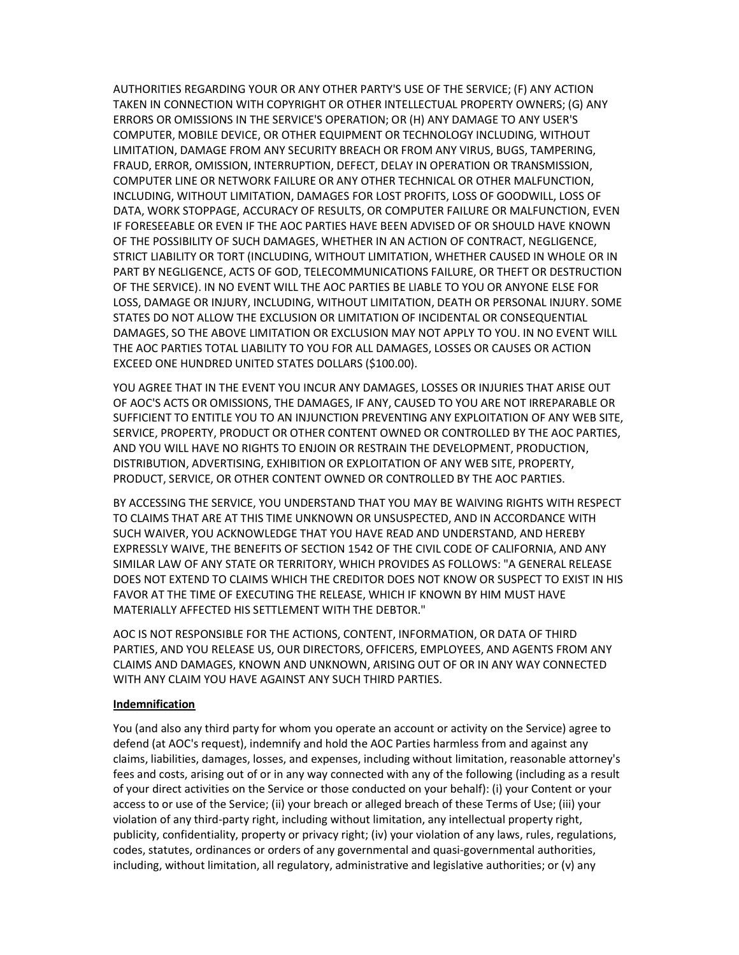AUTHORITIES REGARDING YOUR OR ANY OTHER PARTY'S USE OF THE SERVICE; (F) ANY ACTION TAKEN IN CONNECTION WITH COPYRIGHT OR OTHER INTELLECTUAL PROPERTY OWNERS; (G) ANY ERRORS OR OMISSIONS IN THE SERVICE'S OPERATION; OR (H) ANY DAMAGE TO ANY USER'S COMPUTER, MOBILE DEVICE, OR OTHER EQUIPMENT OR TECHNOLOGY INCLUDING, WITHOUT LIMITATION, DAMAGE FROM ANY SECURITY BREACH OR FROM ANY VIRUS, BUGS, TAMPERING, FRAUD, ERROR, OMISSION, INTERRUPTION, DEFECT, DELAY IN OPERATION OR TRANSMISSION, COMPUTER LINE OR NETWORK FAILURE OR ANY OTHER TECHNICAL OR OTHER MALFUNCTION, INCLUDING, WITHOUT LIMITATION, DAMAGES FOR LOST PROFITS, LOSS OF GOODWILL, LOSS OF DATA, WORK STOPPAGE, ACCURACY OF RESULTS, OR COMPUTER FAILURE OR MALFUNCTION, EVEN IF FORESEEABLE OR EVEN IF THE AOC PARTIES HAVE BEEN ADVISED OF OR SHOULD HAVE KNOWN OF THE POSSIBILITY OF SUCH DAMAGES, WHETHER IN AN ACTION OF CONTRACT, NEGLIGENCE, STRICT LIABILITY OR TORT (INCLUDING, WITHOUT LIMITATION, WHETHER CAUSED IN WHOLE OR IN PART BY NEGLIGENCE, ACTS OF GOD, TELECOMMUNICATIONS FAILURE, OR THEFT OR DESTRUCTION OF THE SERVICE). IN NO EVENT WILL THE AOC PARTIES BE LIABLE TO YOU OR ANYONE ELSE FOR LOSS, DAMAGE OR INJURY, INCLUDING, WITHOUT LIMITATION, DEATH OR PERSONAL INJURY. SOME STATES DO NOT ALLOW THE EXCLUSION OR LIMITATION OF INCIDENTAL OR CONSEQUENTIAL DAMAGES, SO THE ABOVE LIMITATION OR EXCLUSION MAY NOT APPLY TO YOU. IN NO EVENT WILL THE AOC PARTIES TOTAL LIABILITY TO YOU FOR ALL DAMAGES, LOSSES OR CAUSES OR ACTION EXCEED ONE HUNDRED UNITED STATES DOLLARS (\$100.00).

YOU AGREE THAT IN THE EVENT YOU INCUR ANY DAMAGES, LOSSES OR INJURIES THAT ARISE OUT OF AOC'S ACTS OR OMISSIONS, THE DAMAGES, IF ANY, CAUSED TO YOU ARE NOT IRREPARABLE OR SUFFICIENT TO ENTITLE YOU TO AN INJUNCTION PREVENTING ANY EXPLOITATION OF ANY WEB SITE, SERVICE, PROPERTY, PRODUCT OR OTHER CONTENT OWNED OR CONTROLLED BY THE AOC PARTIES, AND YOU WILL HAVE NO RIGHTS TO ENJOIN OR RESTRAIN THE DEVELOPMENT, PRODUCTION, DISTRIBUTION, ADVERTISING, EXHIBITION OR EXPLOITATION OF ANY WEB SITE, PROPERTY, PRODUCT, SERVICE, OR OTHER CONTENT OWNED OR CONTROLLED BY THE AOC PARTIES.

BY ACCESSING THE SERVICE, YOU UNDERSTAND THAT YOU MAY BE WAIVING RIGHTS WITH RESPECT TO CLAIMS THAT ARE AT THIS TIME UNKNOWN OR UNSUSPECTED, AND IN ACCORDANCE WITH SUCH WAIVER, YOU ACKNOWLEDGE THAT YOU HAVE READ AND UNDERSTAND, AND HEREBY EXPRESSLY WAIVE, THE BENEFITS OF SECTION 1542 OF THE CIVIL CODE OF CALIFORNIA, AND ANY SIMILAR LAW OF ANY STATE OR TERRITORY, WHICH PROVIDES AS FOLLOWS: "A GENERAL RELEASE DOES NOT EXTEND TO CLAIMS WHICH THE CREDITOR DOES NOT KNOW OR SUSPECT TO EXIST IN HIS FAVOR AT THE TIME OF EXECUTING THE RELEASE, WHICH IF KNOWN BY HIM MUST HAVE MATERIALLY AFFECTED HIS SETTLEMENT WITH THE DEBTOR."

AOC IS NOT RESPONSIBLE FOR THE ACTIONS, CONTENT, INFORMATION, OR DATA OF THIRD PARTIES, AND YOU RELEASE US, OUR DIRECTORS, OFFICERS, EMPLOYEES, AND AGENTS FROM ANY CLAIMS AND DAMAGES, KNOWN AND UNKNOWN, ARISING OUT OF OR IN ANY WAY CONNECTED WITH ANY CLAIM YOU HAVE AGAINST ANY SUCH THIRD PARTIES.

#### Indemnification

You (and also any third party for whom you operate an account or activity on the Service) agree to defend (at AOC's request), indemnify and hold the AOC Parties harmless from and against any claims, liabilities, damages, losses, and expenses, including without limitation, reasonable attorney's fees and costs, arising out of or in any way connected with any of the following (including as a result of your direct activities on the Service or those conducted on your behalf): (i) your Content or your access to or use of the Service; (ii) your breach or alleged breach of these Terms of Use; (iii) your violation of any third-party right, including without limitation, any intellectual property right, publicity, confidentiality, property or privacy right; (iv) your violation of any laws, rules, regulations, codes, statutes, ordinances or orders of any governmental and quasi-governmental authorities, including, without limitation, all regulatory, administrative and legislative authorities; or (v) any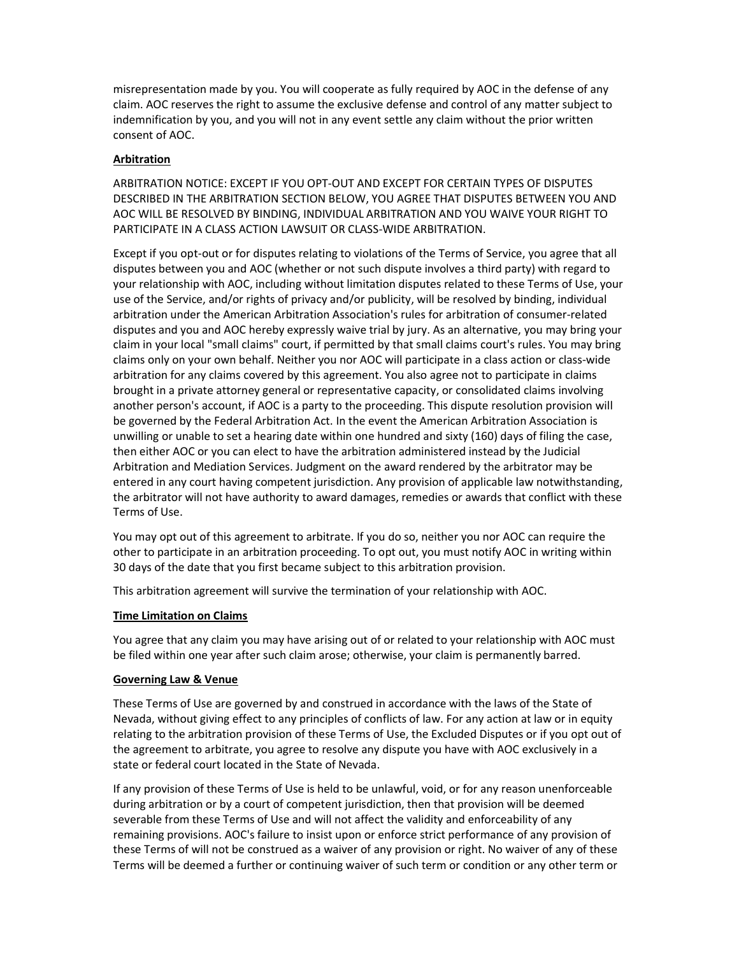misrepresentation made by you. You will cooperate as fully required by AOC in the defense of any claim. AOC reserves the right to assume the exclusive defense and control of any matter subject to indemnification by you, and you will not in any event settle any claim without the prior written consent of AOC.

#### Arbitration

ARBITRATION NOTICE: EXCEPT IF YOU OPT-OUT AND EXCEPT FOR CERTAIN TYPES OF DISPUTES DESCRIBED IN THE ARBITRATION SECTION BELOW, YOU AGREE THAT DISPUTES BETWEEN YOU AND AOC WILL BE RESOLVED BY BINDING, INDIVIDUAL ARBITRATION AND YOU WAIVE YOUR RIGHT TO PARTICIPATE IN A CLASS ACTION LAWSUIT OR CLASS-WIDE ARBITRATION.

Except if you opt-out or for disputes relating to violations of the Terms of Service, you agree that all disputes between you and AOC (whether or not such dispute involves a third party) with regard to your relationship with AOC, including without limitation disputes related to these Terms of Use, your use of the Service, and/or rights of privacy and/or publicity, will be resolved by binding, individual arbitration under the American Arbitration Association's rules for arbitration of consumer-related disputes and you and AOC hereby expressly waive trial by jury. As an alternative, you may bring your claim in your local "small claims" court, if permitted by that small claims court's rules. You may bring claims only on your own behalf. Neither you nor AOC will participate in a class action or class-wide arbitration for any claims covered by this agreement. You also agree not to participate in claims brought in a private attorney general or representative capacity, or consolidated claims involving another person's account, if AOC is a party to the proceeding. This dispute resolution provision will be governed by the Federal Arbitration Act. In the event the American Arbitration Association is unwilling or unable to set a hearing date within one hundred and sixty (160) days of filing the case, then either AOC or you can elect to have the arbitration administered instead by the Judicial Arbitration and Mediation Services. Judgment on the award rendered by the arbitrator may be entered in any court having competent jurisdiction. Any provision of applicable law notwithstanding, the arbitrator will not have authority to award damages, remedies or awards that conflict with these Terms of Use.

You may opt out of this agreement to arbitrate. If you do so, neither you nor AOC can require the other to participate in an arbitration proceeding. To opt out, you must notify AOC in writing within 30 days of the date that you first became subject to this arbitration provision.

This arbitration agreement will survive the termination of your relationship with AOC.

#### Time Limitation on Claims

You agree that any claim you may have arising out of or related to your relationship with AOC must be filed within one year after such claim arose; otherwise, your claim is permanently barred.

#### Governing Law & Venue

These Terms of Use are governed by and construed in accordance with the laws of the State of Nevada, without giving effect to any principles of conflicts of law. For any action at law or in equity relating to the arbitration provision of these Terms of Use, the Excluded Disputes or if you opt out of the agreement to arbitrate, you agree to resolve any dispute you have with AOC exclusively in a state or federal court located in the State of Nevada.

If any provision of these Terms of Use is held to be unlawful, void, or for any reason unenforceable during arbitration or by a court of competent jurisdiction, then that provision will be deemed severable from these Terms of Use and will not affect the validity and enforceability of any remaining provisions. AOC's failure to insist upon or enforce strict performance of any provision of these Terms of will not be construed as a waiver of any provision or right. No waiver of any of these Terms will be deemed a further or continuing waiver of such term or condition or any other term or